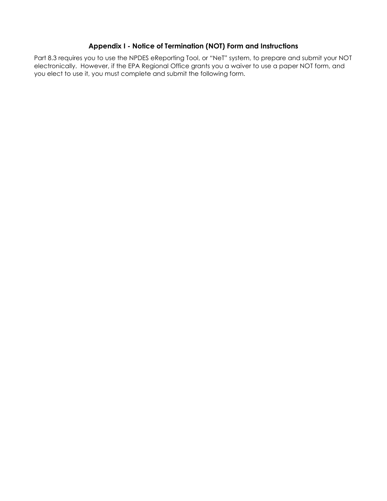# **Appendix I - Notice of Termination (NOT) Form and Instructions**

Part 8.3 requires you to use the NPDES eReporting Tool, or "NeT" system, to prepare and submit your NOT electronically. However, if the EPA Regional Office grants you a waiver to use a paper NOT form, and you elect to use it, you must complete and submit the following form.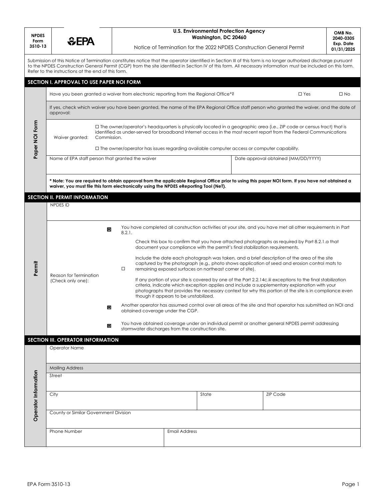| <b>NPDES</b><br>Form<br>3510-13 | <b><i><u></u></i></b> CEPA                                                                                                                                                                                                                                                                                                                                                               |                                                  | <b>U.S. Environmental Protection Agency</b><br>Washington, DC 20460<br>Notice of Termination for the 2022 NPDES Construction General Permit                                                                                                                                                                                                                    |       |                                     |                 | OMB No.<br>2040-0305<br>Exp. Date<br>01/31/2025 |  |  |  |
|---------------------------------|------------------------------------------------------------------------------------------------------------------------------------------------------------------------------------------------------------------------------------------------------------------------------------------------------------------------------------------------------------------------------------------|--------------------------------------------------|----------------------------------------------------------------------------------------------------------------------------------------------------------------------------------------------------------------------------------------------------------------------------------------------------------------------------------------------------------------|-------|-------------------------------------|-----------------|-------------------------------------------------|--|--|--|
|                                 | Submission of this Notice of Termination constitutes notice that the operator identified in Section III of this form is no longer authorized discharge pursuant<br>to the NPDES Construction General Permit (CGP) from the site identified in Section IV of this form. All necessary information must be included on this form.<br>Refer to the instructions at the end of this form.    |                                                  |                                                                                                                                                                                                                                                                                                                                                                |       |                                     |                 |                                                 |  |  |  |
|                                 | SECTION I. APPROVAL TO USE PAPER NOI FORM                                                                                                                                                                                                                                                                                                                                                |                                                  |                                                                                                                                                                                                                                                                                                                                                                |       |                                     |                 |                                                 |  |  |  |
|                                 | Have you been granted a waiver from electronic reporting from the Regional Office <sup>*?</sup><br>$\Box$ Yes<br>$\square$ No                                                                                                                                                                                                                                                            |                                                  |                                                                                                                                                                                                                                                                                                                                                                |       |                                     |                 |                                                 |  |  |  |
|                                 | If yes, check which waiver you have been granted, the name of the EPA Regional Office staff person who granted the waiver, and the date of<br>approval:                                                                                                                                                                                                                                  |                                                  |                                                                                                                                                                                                                                                                                                                                                                |       |                                     |                 |                                                 |  |  |  |
| Paper NOI Form                  | $\Box$ The owner/operator's headquarters is physically located in a geographic area (i.e., ZIP code or census tract) that is<br>identified as under-served for broadband Internet access in the most recent report from the Federal Communications<br>Commission.<br>Waiver granted:<br>$\Box$ The owner/operator has issues regarding available computer access or computer capability. |                                                  |                                                                                                                                                                                                                                                                                                                                                                |       |                                     |                 |                                                 |  |  |  |
|                                 |                                                                                                                                                                                                                                                                                                                                                                                          | Name of EPA staff person that granted the waiver |                                                                                                                                                                                                                                                                                                                                                                |       | Date approval obtained (MM/DD/YYYY) |                 |                                                 |  |  |  |
|                                 | * Note: You are required to obtain approval from the applicable Regional Office prior to using this paper NOI form. If you have not obtained a<br>waiver, you must file this form electronically using the NPDES eReporting Tool (NeT).                                                                                                                                                  |                                                  |                                                                                                                                                                                                                                                                                                                                                                |       |                                     |                 |                                                 |  |  |  |
|                                 | <b>SECTION II. PERMIT INFORMATION</b>                                                                                                                                                                                                                                                                                                                                                    |                                                  |                                                                                                                                                                                                                                                                                                                                                                |       |                                     |                 |                                                 |  |  |  |
|                                 | NPDES ID                                                                                                                                                                                                                                                                                                                                                                                 |                                                  |                                                                                                                                                                                                                                                                                                                                                                |       |                                     |                 |                                                 |  |  |  |
| Permit                          |                                                                                                                                                                                                                                                                                                                                                                                          | E<br>8.2.1.                                      | You have completed all construction activities at your site, and you have met all other requirements in Part<br>Check this box to confirm that you have attached photographs as required by Part 8.2.1.a that                                                                                                                                                  |       |                                     |                 |                                                 |  |  |  |
|                                 |                                                                                                                                                                                                                                                                                                                                                                                          |                                                  | document your compliance with the permit's final stabilization requirements.<br>Include the date each photograph was taken, and a brief description of the area of the site<br>captured by the photograph (e.g., photo shows application of seed and erosion control mats to<br>$\Box$<br>remaining exposed surfaces on northeast corner of site).             |       |                                     |                 |                                                 |  |  |  |
|                                 | Reason for Termination<br>(Check only one):                                                                                                                                                                                                                                                                                                                                              |                                                  | If any portion of your site is covered by one of the Part 2.2.14c.iii exceptions to the final stabilization<br>criteria, indicate which exception applies and include a supplementary explanation with your<br>photographs that provides the necessary context for why this portion of the site is in compliance even<br>though it appears to be unstabilized. |       |                                     |                 |                                                 |  |  |  |
|                                 |                                                                                                                                                                                                                                                                                                                                                                                          | ш                                                | Another operator has assumed control over all areas of the site and that operator has submitted an NOI and<br>obtained coverage under the CGP.                                                                                                                                                                                                                 |       |                                     |                 |                                                 |  |  |  |
|                                 |                                                                                                                                                                                                                                                                                                                                                                                          | 回                                                | You have obtained coverage under an individual permit or another general NPDES permit addressing<br>stormwater discharges from the construction site.                                                                                                                                                                                                          |       |                                     |                 |                                                 |  |  |  |
|                                 | SECTION III. OPERATOR INFORMATION                                                                                                                                                                                                                                                                                                                                                        |                                                  |                                                                                                                                                                                                                                                                                                                                                                |       |                                     |                 |                                                 |  |  |  |
|                                 | <b>Operator Name</b>                                                                                                                                                                                                                                                                                                                                                                     |                                                  |                                                                                                                                                                                                                                                                                                                                                                |       |                                     |                 |                                                 |  |  |  |
| Operator Information            | <b>Mailing Address</b>                                                                                                                                                                                                                                                                                                                                                                   |                                                  |                                                                                                                                                                                                                                                                                                                                                                |       |                                     |                 |                                                 |  |  |  |
|                                 | Street                                                                                                                                                                                                                                                                                                                                                                                   |                                                  |                                                                                                                                                                                                                                                                                                                                                                |       |                                     |                 |                                                 |  |  |  |
|                                 | City                                                                                                                                                                                                                                                                                                                                                                                     |                                                  |                                                                                                                                                                                                                                                                                                                                                                | State |                                     | <b>ZIP Code</b> |                                                 |  |  |  |
|                                 | County or Similar Government Division                                                                                                                                                                                                                                                                                                                                                    |                                                  |                                                                                                                                                                                                                                                                                                                                                                |       |                                     |                 |                                                 |  |  |  |
|                                 | Phone Number<br><b>Email Address</b>                                                                                                                                                                                                                                                                                                                                                     |                                                  |                                                                                                                                                                                                                                                                                                                                                                |       |                                     |                 |                                                 |  |  |  |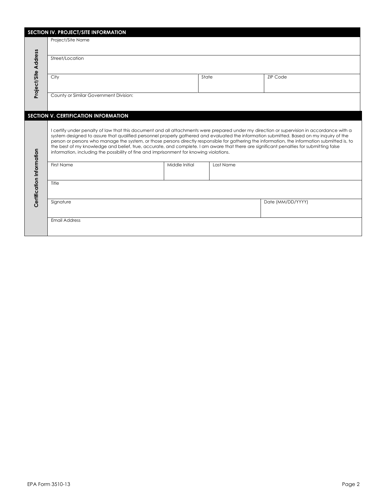| SECTION IV. PROJECT/SITE INFORMATION |                                                                                                                                                                                                                                                                                                                                                                                                                                                                                                                                                                                                                                                                                |                   |           |                 |  |  |  |  |
|--------------------------------------|--------------------------------------------------------------------------------------------------------------------------------------------------------------------------------------------------------------------------------------------------------------------------------------------------------------------------------------------------------------------------------------------------------------------------------------------------------------------------------------------------------------------------------------------------------------------------------------------------------------------------------------------------------------------------------|-------------------|-----------|-----------------|--|--|--|--|
|                                      | Project/Site Name                                                                                                                                                                                                                                                                                                                                                                                                                                                                                                                                                                                                                                                              |                   |           |                 |  |  |  |  |
| Project/Site Address                 | Street/Location                                                                                                                                                                                                                                                                                                                                                                                                                                                                                                                                                                                                                                                                |                   |           |                 |  |  |  |  |
|                                      | City                                                                                                                                                                                                                                                                                                                                                                                                                                                                                                                                                                                                                                                                           |                   | State     | <b>ZIP Code</b> |  |  |  |  |
|                                      | County or Similar Government Division:                                                                                                                                                                                                                                                                                                                                                                                                                                                                                                                                                                                                                                         |                   |           |                 |  |  |  |  |
|                                      | SECTION V. CERTIFICATION INFORMATION                                                                                                                                                                                                                                                                                                                                                                                                                                                                                                                                                                                                                                           |                   |           |                 |  |  |  |  |
|                                      | I certify under penalty of law that this document and all attachments were prepared under my direction or supervision in accordance with a<br>system designed to assure that qualified personnel properly gathered and evaluated the information submitted. Based on my inquiry of the<br>person or persons who manage the system, or those persons directly responsible for gathering the information, the information submitted is, to<br>the best of my knowledge and belief, true, accurate, and complete. I am aware that there are significant penalties for submitting false<br>information, including the possibility of fine and imprisonment for knowing violations. |                   |           |                 |  |  |  |  |
|                                      | <b>First Name</b>                                                                                                                                                                                                                                                                                                                                                                                                                                                                                                                                                                                                                                                              | Middle Initial    | Last Name |                 |  |  |  |  |
| Certification Information            | Title                                                                                                                                                                                                                                                                                                                                                                                                                                                                                                                                                                                                                                                                          |                   |           |                 |  |  |  |  |
|                                      | Signature                                                                                                                                                                                                                                                                                                                                                                                                                                                                                                                                                                                                                                                                      | Date (MM/DD/YYYY) |           |                 |  |  |  |  |
|                                      | <b>Email Address</b>                                                                                                                                                                                                                                                                                                                                                                                                                                                                                                                                                                                                                                                           |                   |           |                 |  |  |  |  |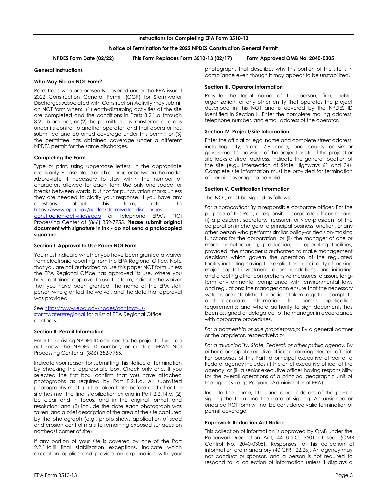# **Instructions for Completing EPA Form 3510-13**

# **Notice of Termination for the 2022 NPDES Construction General Permit**

**NPDES Form Date (02/22) This Form Replaces Form 3510-13 (02/17) Form Approved OMB No. 2040-0305**

#### **General Instructions**

### **Who May File an NOT Form?**

Permittees who are presently covered under the EPA-issued 2022 Construction General Permit (CGP) for Stormwater Discharges Associated with Construction Activity may submit an NOT form when: (1) earth-disturbing activities at the site are completed and the conditions in Parts 8.2.1.a through 8.2.1.b are met; or (2) the permittee has transferred all areas under its control to another operator, and that operator has submitted and obtained coverage under this permit; or (3) the permittee has obtained coverage under a different NPDES permit for the same discharges.

#### **Completing the Form**

Type or print, using uppercase letters, in the appropriate areas only. Please place each character between the marks. Abbreviate if necessary to stay within the number of characters allowed for each item. Use only one space for breaks between words, but not for punctuation marks unless they are needed to clarify your response. If you have any questions about this form, refer to https://www.epa.gov/npdes/stormwater-dischargesconstruction-activities#cgp or telephone EPA's NOI Processing Center at (866) 352-7755. **Please submit original document with signature in ink - do not send a photocopied** 

# <span id="page-3-0"></span>**signature. Section I. Approval to Use Paper NOI Form**

You must indicate whether you have been granted a waiver from electronic reporting from the EPA Regional Office. Note that you are not authorized to use this paper NOT form unless the EPA Regional Office has approved its use. Where you have obtained approval to use this form, indicate the waiver that you have been granted, the name of the EPA staff person who granted the waiver, and the date that approval was provided.

See https://www.epa.gov/npdes/contact-usstormwater#regional for a list of EPA Regional Office contacts.

# <span id="page-3-1"></span>**Section II. Permit Information**

Enter the existing NPDES ID assigned to the project . If you do not know the NPDES ID number, or contact EPA's NOI Processing Center at (866) 352-7755.

Indicate your reason for submitting this Notice of Termination by checking the appropriate box. Check only one. If you selected the first box, confirm that you have attached photographs as required by Part 8.2.1.a. All submitted photographs must: (1) be taken both before and after the site has met the final stabilization criteria in Part 2.2.14.c; (2) be clear and in focus, and in the original format and resolution; and (3) include the date each photograph was taken, and a brief description of the area of the site captured by the photograph (e.g., photo shows application of seed and erosion control mats to remaining exposed surfaces on northeast corner of site).

If any portion of your site is covered by one of the Part 2.2.14c.iii final stabilization exceptions, indicate which exception applies and provide an explanation with your photographs that describes why this portion of the site is in compliance even though it may appear to be unstabilized.

### <span id="page-3-2"></span>**Section III. Operator Information**

Provide the legal name of the person, firm, public organization, or any other entity that operates the project described in this NOT and is covered by the NPDES ID identified in Section II. Enter the complete mailing address, telephone number, and email address of the operator.

#### <span id="page-3-3"></span>**Section IV. Project/Site Information**

Enter the official or legal name and complete street address, including city, State, ZIP code, and county or similar government subdivision of the project or site. If the project or site lacks a street address, indicate the general location of the site (e.g., Intersection of State Highways 61 and 34). Complete site information must be provided for termination of permit coverage to be valid.

#### <span id="page-3-4"></span>**Section V. Certification Information**

The NOT, must be signed as follows:

*For a corporation:* By a responsible corporate officer. For the purpose of this Part, a responsible corporate officer means: (i) a president, secretary, treasurer, or vice-president of the corporation in charge of a principal business function, or any other person who performs similar policy-or decision-making functions for the corporation, or (ii) the manager of one or more manufacturing, production, or operating facilities, provided, the manager is authorized to make management decisions which govern the operation of the regulated facility including having the explicit or implicit duty of making major capital investment recommendations, and initiating and directing other comprehensive measures to assure longterm environmental compliance with environmental laws and regulations; the manager can ensure that the necessary systems are established or actions taken to gather complete and accurate information for permit application requirements; and where authority to sign documents has been assigned or delegated to the manager in accordance with corporate procedures.

*For a partnership or sole proprietorship:* By a general partner or the proprietor, respectively; or

*For a municipality, State, Federal, or other public agency:* By either a principal executive officer or ranking elected official. For purposes of this Part, a principal executive officer of a Federal agency includes (i) the chief executive officer of the agency, or (ii) a senior executive officer having responsibility for the overall operations of a principal geographic unit of the agency (e.g., Regional Administrator of EPA).

Include the name, title, and email address of the person signing the form and the date of signing. An unsigned or undated NOT form will not be considered valid termination of permit coverage.

# **Paperwork Reduction Act Notice**

This collection of information is approved by OMB under the Paperwork Reduction Act, 44 U.S.C. 3501 et seq. (OMB Control No. 2040-0305). Responses to this collection of information are mandatory (40 CFR 122.26). An agency may not conduct or sponsor, and a person is not required to respond to, a collection of information unless it displays a